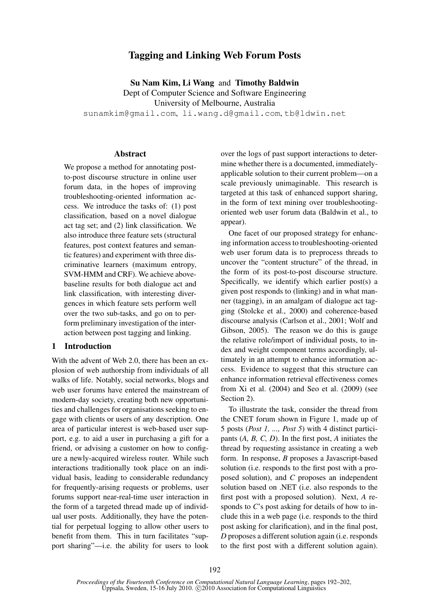# Tagging and Linking Web Forum Posts

Su Nam Kim, Li Wang and Timothy Baldwin Dept of Computer Science and Software Engineering University of Melbourne, Australia sunamkim@gmail.com, li.wang.d@gmail.com, tb@ldwin.net

## Abstract

We propose a method for annotating postto-post discourse structure in online user forum data, in the hopes of improving troubleshooting-oriented information access. We introduce the tasks of: (1) post classification, based on a novel dialogue act tag set; and (2) link classification. We also introduce three feature sets (structural features, post context features and semantic features) and experiment with three discriminative learners (maximum entropy, SVM-HMM and CRF). We achieve abovebaseline results for both dialogue act and link classification, with interesting divergences in which feature sets perform well over the two sub-tasks, and go on to perform preliminary investigation of the interaction between post tagging and linking.

#### 1 Introduction

With the advent of Web 2.0, there has been an explosion of web authorship from individuals of all walks of life. Notably, social networks, blogs and web user forums have entered the mainstream of modern-day society, creating both new opportunities and challenges for organisations seeking to engage with clients or users of any description. One area of particular interest is web-based user support, e.g. to aid a user in purchasing a gift for a friend, or advising a customer on how to configure a newly-acquired wireless router. While such interactions traditionally took place on an individual basis, leading to considerable redundancy for frequently-arising requests or problems, user forums support near-real-time user interaction in the form of a targeted thread made up of individual user posts. Additionally, they have the potential for perpetual logging to allow other users to benefit from them. This in turn facilitates "support sharing"—i.e. the ability for users to look over the logs of past support interactions to determine whether there is a documented, immediatelyapplicable solution to their current problem—on a scale previously unimaginable. This research is targeted at this task of enhanced support sharing, in the form of text mining over troubleshootingoriented web user forum data (Baldwin et al., to appear).

One facet of our proposed strategy for enhancing information access to troubleshooting-oriented web user forum data is to preprocess threads to uncover the "content structure" of the thread, in the form of its post-to-post discourse structure. Specifically, we identify which earlier post(s) a given post responds to (linking) and in what manner (tagging), in an amalgam of dialogue act tagging (Stolcke et al., 2000) and coherence-based discourse analysis (Carlson et al., 2001; Wolf and Gibson, 2005). The reason we do this is gauge the relative role/import of individual posts, to index and weight component terms accordingly, ultimately in an attempt to enhance information access. Evidence to suggest that this structure can enhance information retrieval effectiveness comes from Xi et al. (2004) and Seo et al. (2009) (see Section 2).

To illustrate the task, consider the thread from the CNET forum shown in Figure 1, made up of 5 posts (*Post 1, ..., Post 5*) with 4 distinct participants (*A, B, C, D*). In the first post, *A* initiates the thread by requesting assistance in creating a web form. In response, *B* proposes a Javascript-based solution (i.e. responds to the first post with a proposed solution), and *C* proposes an independent solution based on .NET (i.e. also responds to the first post with a proposed solution). Next, *A* responds to *C*'s post asking for details of how to include this in a web page (i.e. responds to the third post asking for clarification), and in the final post, *D* proposes a different solution again (i.e. responds to the first post with a different solution again).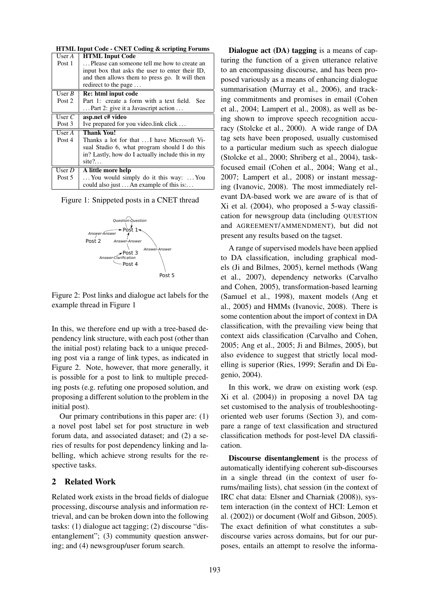|          | <b>HTML Input Code - CNET Coding &amp; scripting Forums</b> |
|----------|-------------------------------------------------------------|
| User $A$ | <b>HTML Input Code</b>                                      |
| Post 1   | Please can someone tell me how to create an                 |
|          | input box that asks the user to enter their ID,             |
|          | and then allows them to press go. It will then              |
|          | redirect to the page                                        |
| User $B$ | Re: html input code                                         |
| Post 2   | Part 1: create a form with a text field. See                |
|          | Part 2: give it a Javascript action                         |
| User $C$ | asp.net c# video                                            |
| Post 3   | Ive prepared for you video.link click                       |
| User $A$ | <b>Thank You!</b>                                           |
| Post 4   | Thanks a lot for that  I have Microsoft Vi-                 |
|          | sual Studio 6, what program should I do this                |
|          | in? Lastly, how do I actually include this in my            |
|          | site $?$                                                    |
| User $D$ | A little more help                                          |
| Post 5   | You would simply do it this way:  You                       |
|          | could also just  An example of this is:                     |

Figure 1: Snippeted posts in a CNET thread



Figure 2: Post links and dialogue act labels for the example thread in Figure 1

In this, we therefore end up with a tree-based dependency link structure, with each post (other than the initial post) relating back to a unique preceding post via a range of link types, as indicated in Figure 2. Note, however, that more generally, it is possible for a post to link to multiple preceding posts (e.g. refuting one proposed solution, and proposing a different solution to the problem in the initial post).

Our primary contributions in this paper are: (1) a novel post label set for post structure in web forum data, and associated dataset; and (2) a series of results for post dependency linking and labelling, which achieve strong results for the respective tasks.

## 2 Related Work

Related work exists in the broad fields of dialogue processing, discourse analysis and information retrieval, and can be broken down into the following tasks: (1) dialogue act tagging; (2) discourse "disentanglement"; (3) community question answering; and (4) newsgroup/user forum search.

Dialogue act (DA) tagging is a means of capturing the function of a given utterance relative to an encompassing discourse, and has been proposed variously as a means of enhancing dialogue summarisation (Murray et al., 2006), and tracking commitments and promises in email (Cohen et al., 2004; Lampert et al., 2008), as well as being shown to improve speech recognition accuracy (Stolcke et al., 2000). A wide range of DA tag sets have been proposed, usually customised to a particular medium such as speech dialogue (Stolcke et al., 2000; Shriberg et al., 2004), taskfocused email (Cohen et al., 2004; Wang et al., 2007; Lampert et al., 2008) or instant messaging (Ivanovic, 2008). The most immediately relevant DA-based work we are aware of is that of Xi et al. (2004), who proposed a 5-way classification for newsgroup data (including QUESTION and AGREEMENT/AMMENDMENT), but did not present any results based on the tagset.

A range of supervised models have been applied to DA classification, including graphical models (Ji and Bilmes, 2005), kernel methods (Wang et al., 2007), dependency networks (Carvalho and Cohen, 2005), transformation-based learning (Samuel et al., 1998), maxent models (Ang et al., 2005) and HMMs (Ivanovic, 2008). There is some contention about the import of context in DA classification, with the prevailing view being that context aids classification (Carvalho and Cohen, 2005; Ang et al., 2005; Ji and Bilmes, 2005), but also evidence to suggest that strictly local modelling is superior (Ries, 1999; Serafin and Di Eugenio, 2004).

In this work, we draw on existing work (esp. Xi et al. (2004)) in proposing a novel DA tag set customised to the analysis of troubleshootingoriented web user forums (Section 3), and compare a range of text classification and structured classification methods for post-level DA classification.

Discourse disentanglement is the process of automatically identifying coherent sub-discourses in a single thread (in the context of user forums/mailing lists), chat session (in the context of IRC chat data: Elsner and Charniak (2008)), system interaction (in the context of HCI: Lemon et al. (2002)) or document (Wolf and Gibson, 2005). The exact definition of what constitutes a subdiscourse varies across domains, but for our purposes, entails an attempt to resolve the informa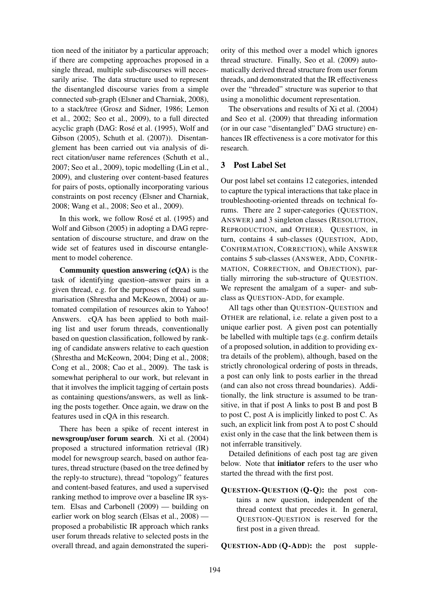tion need of the initiator by a particular approach; if there are competing approaches proposed in a single thread, multiple sub-discourses will necessarily arise. The data structure used to represent the disentangled discourse varies from a simple connected sub-graph (Elsner and Charniak, 2008), to a stack/tree (Grosz and Sidner, 1986; Lemon et al., 2002; Seo et al., 2009), to a full directed acyclic graph (DAG: Rosé et al. (1995), Wolf and Gibson (2005), Schuth et al. (2007)). Disentanglement has been carried out via analysis of direct citation/user name references (Schuth et al., 2007; Seo et al., 2009), topic modelling (Lin et al., 2009), and clustering over content-based features for pairs of posts, optionally incorporating various constraints on post recency (Elsner and Charniak, 2008; Wang et al., 2008; Seo et al., 2009).

In this work, we follow Rosé et al. (1995) and Wolf and Gibson (2005) in adopting a DAG representation of discourse structure, and draw on the wide set of features used in discourse entanglement to model coherence.

Community question answering (cQA) is the task of identifying question–answer pairs in a given thread, e.g. for the purposes of thread summarisation (Shrestha and McKeown, 2004) or automated compilation of resources akin to Yahoo! Answers. cQA has been applied to both mailing list and user forum threads, conventionally based on question classification, followed by ranking of candidate answers relative to each question (Shrestha and McKeown, 2004; Ding et al., 2008; Cong et al., 2008; Cao et al., 2009). The task is somewhat peripheral to our work, but relevant in that it involves the implicit tagging of certain posts as containing questions/answers, as well as linking the posts together. Once again, we draw on the features used in cQA in this research.

There has been a spike of recent interest in newsgroup/user forum search. Xi et al. (2004) proposed a structured information retrieval (IR) model for newsgroup search, based on author features, thread structure (based on the tree defined by the reply-to structure), thread "topology" features and content-based features, and used a supervised ranking method to improve over a baseline IR system. Elsas and Carbonell (2009) — building on earlier work on blog search (Elsas et al., 2008) proposed a probabilistic IR approach which ranks user forum threads relative to selected posts in the overall thread, and again demonstrated the superi-

ority of this method over a model which ignores thread structure. Finally, Seo et al. (2009) automatically derived thread structure from user forum threads, and demonstrated that the IR effectiveness over the "threaded" structure was superior to that using a monolithic document representation.

The observations and results of Xi et al. (2004) and Seo et al. (2009) that threading information (or in our case "disentangled" DAG structure) enhances IR effectiveness is a core motivator for this research.

## 3 Post Label Set

Our post label set contains 12 categories, intended to capture the typical interactions that take place in troubleshooting-oriented threads on technical forums. There are 2 super-categories (QUESTION, ANSWER) and 3 singleton classes (RESOLUTION, REPRODUCTION, and OTHER). QUESTION, in turn, contains 4 sub-classes (QUESTION, ADD, CONFIRMATION, CORRECTION), while ANSWER contains 5 sub-classes (ANSWER, ADD, CONFIR-MATION, CORRECTION, and OBJECTION), partially mirroring the sub-structure of QUESTION. We represent the amalgam of a super- and subclass as QUESTION-ADD, for example.

All tags other than QUESTION-QUESTION and OTHER are relational, i.e. relate a given post to a unique earlier post. A given post can potentially be labelled with multiple tags (e.g. confirm details of a proposed solution, in addition to providing extra details of the problem), although, based on the strictly chronological ordering of posts in threads, a post can only link to posts earlier in the thread (and can also not cross thread boundaries). Additionally, the link structure is assumed to be transitive, in that if post A links to post B and post B to post C, post A is implicitly linked to post C. As such, an explicit link from post A to post C should exist only in the case that the link between them is not inferrable transitively.

Detailed definitions of each post tag are given below. Note that **initiator** refers to the user who started the thread with the first post.

QUESTION-QUESTION (Q-Q): the post contains a new question, independent of the thread context that precedes it. In general, QUESTION-QUESTION is reserved for the first post in a given thread.

QUESTION-ADD (Q-ADD): the post supple-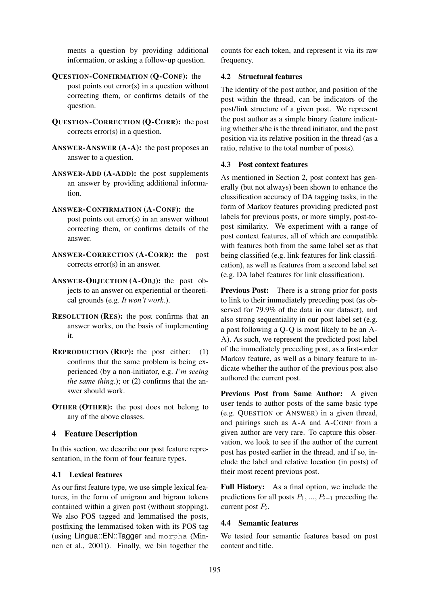ments a question by providing additional information, or asking a follow-up question.

- QUESTION-CONFIRMATION (Q-CONF): the post points out error(s) in a question without correcting them, or confirms details of the question.
- QUESTION-CORRECTION (Q-CORR): the post corrects error(s) in a question.
- ANSWER-ANSWER (A-A): the post proposes an answer to a question.
- ANSWER-ADD (A-ADD): the post supplements an answer by providing additional information.
- ANSWER-CONFIRMATION (A-CONF): the post points out error(s) in an answer without correcting them, or confirms details of the answer.
- ANSWER-CORRECTION (A-CORR): the post corrects error(s) in an answer.
- ANSWER-OBJECTION (A-OBJ): the post objects to an answer on experiential or theoretical grounds (e.g. *It won't work.*).
- RESOLUTION (RES): the post confirms that an answer works, on the basis of implementing it.
- **REPRODUCTION (REP):** the post either:  $(1)$ confirms that the same problem is being experienced (by a non-initiator, e.g. *I'm seeing the same thing.*); or (2) confirms that the answer should work.
- OTHER (OTHER): the post does not belong to any of the above classes.

# 4 Feature Description

In this section, we describe our post feature representation, in the form of four feature types.

## 4.1 Lexical features

As our first feature type, we use simple lexical features, in the form of unigram and bigram tokens contained within a given post (without stopping). We also POS tagged and lemmatised the posts, postfixing the lemmatised token with its POS tag (using Lingua::EN::Tagger and morpha (Minnen et al., 2001)). Finally, we bin together the counts for each token, and represent it via its raw frequency.

## 4.2 Structural features

The identity of the post author, and position of the post within the thread, can be indicators of the post/link structure of a given post. We represent the post author as a simple binary feature indicating whether s/he is the thread initiator, and the post position via its relative position in the thread (as a ratio, relative to the total number of posts).

## 4.3 Post context features

As mentioned in Section 2, post context has generally (but not always) been shown to enhance the classification accuracy of DA tagging tasks, in the form of Markov features providing predicted post labels for previous posts, or more simply, post-topost similarity. We experiment with a range of post context features, all of which are compatible with features both from the same label set as that being classified (e.g. link features for link classification), as well as features from a second label set (e.g. DA label features for link classification).

Previous Post: There is a strong prior for posts to link to their immediately preceding post (as observed for 79.9% of the data in our dataset), and also strong sequentiality in our post label set (e.g. a post following a Q-Q is most likely to be an A-A). As such, we represent the predicted post label of the immediately preceding post, as a first-order Markov feature, as well as a binary feature to indicate whether the author of the previous post also authored the current post.

Previous Post from Same Author: A given user tends to author posts of the same basic type (e.g. QUESTION or ANSWER) in a given thread, and pairings such as A-A and A-CONF from a given author are very rare. To capture this observation, we look to see if the author of the current post has posted earlier in the thread, and if so, include the label and relative location (in posts) of their most recent previous post.

Full History: As a final option, we include the predictions for all posts  $P_1, ..., P_{i-1}$  preceding the current post  $P_i$ .

## 4.4 Semantic features

We tested four semantic features based on post content and title.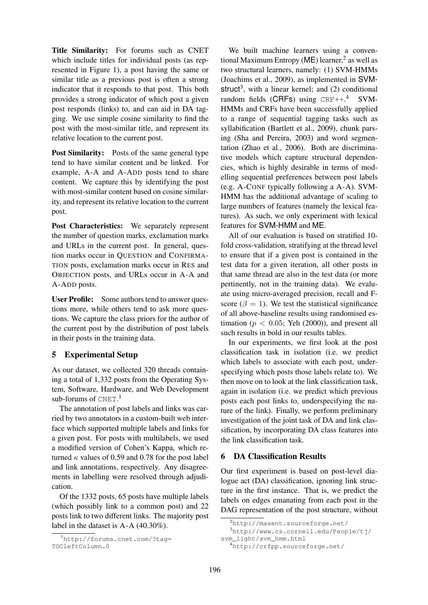Title Similarity: For forums such as CNET which include titles for individual posts (as represented in Figure 1), a post having the same or similar title as a previous post is often a strong indicator that it responds to that post. This both provides a strong indicator of which post a given post responds (links) to, and can aid in DA tagging. We use simple cosine similarity to find the post with the most-similar title, and represent its relative location to the current post.

Post Similarity: Posts of the same general type tend to have similar content and be linked. For example, A-A and A-ADD posts tend to share content. We capture this by identifying the post with most-similar content based on cosine similarity, and represent its relative location to the current post.

Post Characteristics: We separately represent the number of question marks, exclamation marks and URLs in the current post. In general, question marks occur in QUESTION and CONFIRMA-TION posts, exclamation marks occur in RES and OBJECTION posts, and URLs occur in A-A and A-ADD posts.

User Profile: Some authors tend to answer questions more, while others tend to ask more questions. We capture the class priors for the author of the current post by the distribution of post labels in their posts in the training data.

## 5 Experimental Setup

As our dataset, we collected 320 threads containing a total of 1,332 posts from the Operating System, Software, Hardware, and Web Development sub-forums of CNET.<sup>1</sup>

The annotation of post labels and links was carried by two annotators in a custom-built web interface which supported multiple labels and links for a given post. For posts with multilabels, we used a modified version of Cohen's Kappa, which returned  $\kappa$  values of 0.59 and 0.78 for the post label and link annotations, respectively. Any disagreements in labelling were resolved through adjudication.

Of the 1332 posts, 65 posts have multiple labels (which possibly link to a common post) and 22 posts link to two different links. The majority post label in the dataset is A-A (40.30%).

We built machine learners using a conventional Maximum Entropy ( $ME$ ) learner,<sup>2</sup> as well as two structural learners, namely: (1) SVM-HMMs (Joachims et al., 2009), as implemented in SVMstruct<sup>3</sup>, with a linear kernel; and  $(2)$  conditional random fields (CRFs) using  $CRF++.^4$  SVM-HMMs and CRFs have been successfully applied to a range of sequential tagging tasks such as syllabification (Bartlett et al., 2009), chunk parsing (Sha and Pereira, 2003) and word segmentation (Zhao et al., 2006). Both are discriminative models which capture structural dependencies, which is highly desirable in terms of modelling sequential preferences between post labels (e.g. A-CONF typically following a A-A). SVM-HMM has the additional advantage of scaling to large numbers of features (namely the lexical features). As such, we only experiment with lexical features for SVM-HMM and ME.

All of our evaluation is based on stratified 10 fold cross-validation, stratifying at the thread level to ensure that if a given post is contained in the test data for a given iteration, all other posts in that same thread are also in the test data (or more pertinently, not in the training data). We evaluate using micro-averaged precision, recall and Fscore ( $\beta = 1$ ). We test the statistical significance of all above-baseline results using randomised estimation ( $p < 0.05$ ; Yeh (2000)), and present all such results in bold in our results tables.

In our experiments, we first look at the post classification task in isolation (i.e. we predict which labels to associate with each post, underspecifying which posts those labels relate to). We then move on to look at the link classification task, again in isolation (i.e. we predict which previous posts each post links to, underspecifying the nature of the link). Finally, we perform preliminary investigation of the joint task of DA and link classification, by incorporating DA class features into the link classification task.

## 6 DA Classification Results

Our first experiment is based on post-level dialogue act (DA) classification, ignoring link structure in the first instance. That is, we predict the labels on edges emanating from each post in the DAG representation of the post structure, without

```
svm_light/svm_hmm.html
```

```
4http://crfpp.sourceforge.net/
```
<sup>1</sup>http://forums.cnet.com/?tag= TOCleftColumn.0

<sup>2</sup>http://maxent.sourceforge.net/

<sup>3</sup>http://www.cs.cornell.edu/People/tj/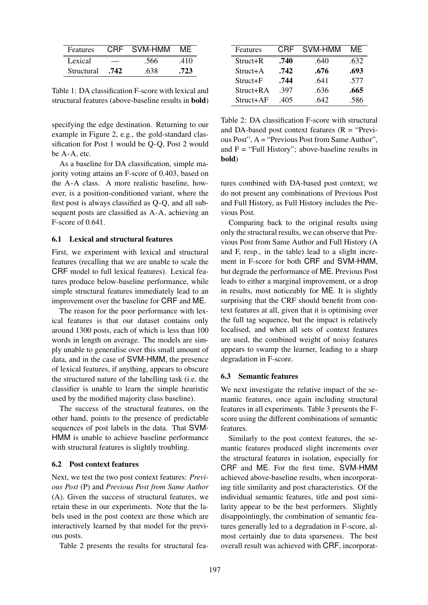| Features   |      | CRF SVM-HMM | MF   |
|------------|------|-------------|------|
| Lexical    |      | .566        | .410 |
| Structural | .742 | .638        | .723 |

Table 1: DA classification F-score with lexical and structural features (above-baseline results in bold)

specifying the edge destination. Returning to our example in Figure 2, e.g., the gold-standard classification for Post 1 would be Q-Q, Post 2 would be A-A, etc.

As a baseline for DA classification, simple majority voting attains an F-score of 0.403, based on the A-A class. A more realistic baseline, however, is a position-conditioned variant, where the first post is always classified as Q-Q, and all subsequent posts are classified as A-A, achieving an F-score of 0.641.

#### 6.1 Lexical and structural features

First, we experiment with lexical and structural features (recalling that we are unable to scale the CRF model to full lexical features). Lexical features produce below-baseline performance, while simple structural features immediately lead to an improvement over the baseline for CRF and ME.

The reason for the poor performance with lexical features is that our dataset contains only around 1300 posts, each of which is less than 100 words in length on average. The models are simply unable to generalise over this small amount of data, and in the case of SVM-HMM, the presence of lexical features, if anything, appears to obscure the structured nature of the labelling task (i.e. the classifier is unable to learn the simple heuristic used by the modified majority class baseline).

The success of the structural features, on the other hand, points to the presence of predictable sequences of post labels in the data. That SVM-HMM is unable to achieve baseline performance with structural features is slightly troubling.

#### 6.2 Post context features

Next, we test the two post context features: *Previous Post* (P) and *Previous Post from Same Author* (A). Given the success of structural features, we retain these in our experiments. Note that the labels used in the post context are those which are interactively learned by that model for the previous posts.

Table 2 presents the results for structural fea-

| Features   | CRF  | SVM-HMM | MF   |
|------------|------|---------|------|
| Struct+R   | .740 | .640    | .632 |
| Struct+A   | .742 | .676    | .693 |
| $Struct+F$ | .744 | .641    | .577 |
| Struct+RA  | .397 | .636    | .665 |
| Struct+AF  | .405 | .642    | .586 |

Table 2: DA classification F-score with structural and DA-based post context features  $(R = "Previous")$ ous Post", A = "Previous Post from Same Author", and  $F = "Full History"$ ; above-baseline results in bold)

tures combined with DA-based post context; we do not present any combinations of Previous Post and Full History, as Full History includes the Previous Post.

Comparing back to the original results using only the structural results, we can observe that Previous Post from Same Author and Full History (A and F, resp., in the table) lead to a slight increment in F-score for both CRF and SVM-HMM, but degrade the performance of ME. Previous Post leads to either a marginal improvement, or a drop in results, most noticeably for ME. It is slightly surprising that the CRF should benefit from context features at all, given that it is optimising over the full tag sequence, but the impact is relatively localised, and when all sets of context features are used, the combined weight of noisy features appears to swamp the learner, leading to a sharp degradation in F-score.

#### 6.3 Semantic features

We next investigate the relative impact of the semantic features, once again including structural features in all experiments. Table 3 presents the Fscore using the different combinations of semantic features.

Similarly to the post context features, the semantic features produced slight increments over the structural features in isolation, especially for CRF and ME. For the first time, SVM-HMM achieved above-baseline results, when incorporating title similarity and post characteristics. Of the individual semantic features, title and post similarity appear to be the best performers. Slightly disappointingly, the combination of semantic features generally led to a degradation in F-score, almost certainly due to data sparseness. The best overall result was achieved with CRF, incorporat-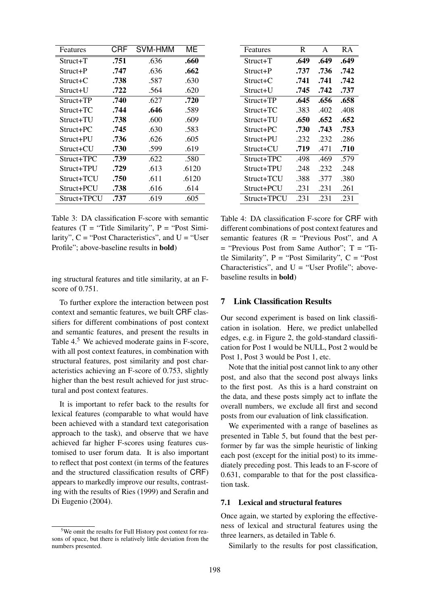| Features    | CRF  | SVM-HMM | МE    |
|-------------|------|---------|-------|
| $Struct+T$  | .751 | .636    | .660  |
| Struct+P    | .747 | .636    | .662  |
| $Struct+C$  | .738 | .587    | .630  |
| Struct+U    | .722 | .564    | .620  |
| Struct+TP   | .740 | .627    | .720  |
| Struct+TC   | .744 | .646    | .589  |
| Struct+TU   | .738 | .600    | .609  |
| Struct+PC   | .745 | .630    | .583  |
| Struct+PU   | .736 | .626    | .605  |
| Struct+CU   | .730 | .599    | .619  |
| Struct+TPC  | .739 | .622    | .580  |
| Struct+TPU  | .729 | .613    | .6120 |
| Struct+TCU  | .750 | .611    | .6120 |
| Struct+PCU  | .738 | .616    | .614  |
| Struct+TPCU | .737 | .619    | .605  |

Table 3: DA classification F-score with semantic features ( $T =$  "Title Similarity",  $P =$  "Post Similarity",  $C =$  "Post Characteristics", and  $U =$  "User Profile"; above-baseline results in bold)

ing structural features and title similarity, at an Fscore of 0.751.

To further explore the interaction between post context and semantic features, we built CRF classifiers for different combinations of post context and semantic features, and present the results in Table 4.<sup>5</sup> We achieved moderate gains in F-score, with all post context features, in combination with structural features, post similarity and post characteristics achieving an F-score of 0.753, slightly higher than the best result achieved for just structural and post context features.

It is important to refer back to the results for lexical features (comparable to what would have been achieved with a standard text categorisation approach to the task), and observe that we have achieved far higher F-scores using features customised to user forum data. It is also important to reflect that post context (in terms of the features and the structured classification results of CRF) appears to markedly improve our results, contrasting with the results of Ries (1999) and Serafin and Di Eugenio (2004).

| Features    | R    | A    | R A  |
|-------------|------|------|------|
| $Struct+T$  | .649 | .649 | .649 |
| Struct+P    | .737 | .736 | .742 |
| Struct+C    | .741 | .741 | .742 |
| Struct+U    | .745 | .742 | .737 |
| Struct+TP   | .645 | .656 | .658 |
| Struct+TC   | .383 | .402 | .408 |
| Struct+TU   | .650 | .652 | .652 |
| Struct+PC   | .730 | .743 | .753 |
| Struct+PU   | .232 | .232 | .286 |
| Struct+CU   | .719 | .471 | .710 |
| Struct+TPC  | .498 | .469 | .579 |
| Struct+TPU  | .248 | .232 | .248 |
| Struct+TCU  | .388 | .377 | .380 |
| Struct+PCU  | .231 | .231 | .261 |
| Struct+TPCU | .231 | .231 | .231 |

Table 4: DA classification F-score for CRF with different combinations of post context features and semantic features  $(R = "Previous Post", and A$  $=$  "Previous Post from Same Author";  $T =$  "Title Similarity",  $P = "Post Similarity", C = "Post$ Characteristics", and  $U = "User Profile";$  abovebaseline results in bold)

#### 7 Link Classification Results

Our second experiment is based on link classification in isolation. Here, we predict unlabelled edges, e.g. in Figure 2, the gold-standard classification for Post 1 would be NULL, Post 2 would be Post 1, Post 3 would be Post 1, etc.

Note that the initial post cannot link to any other post, and also that the second post always links to the first post. As this is a hard constraint on the data, and these posts simply act to inflate the overall numbers, we exclude all first and second posts from our evaluation of link classification.

We experimented with a range of baselines as presented in Table 5, but found that the best performer by far was the simple heuristic of linking each post (except for the initial post) to its immediately preceding post. This leads to an F-score of 0.631, comparable to that for the post classification task.

#### 7.1 Lexical and structural features

Once again, we started by exploring the effectiveness of lexical and structural features using the three learners, as detailed in Table 6.

Similarly to the results for post classification,

<sup>&</sup>lt;sup>5</sup>We omit the results for Full History post context for reasons of space, but there is relatively little deviation from the numbers presented.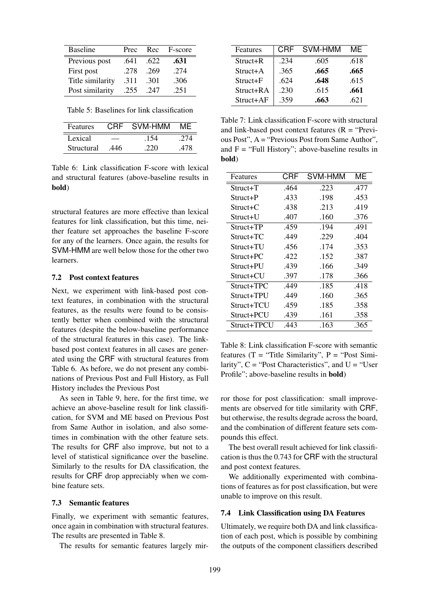| <b>Baseline</b>  | Prec | Rec  | F-score |
|------------------|------|------|---------|
| Previous post    | .641 | .622 | .631    |
| First post       | .278 | .269 | .274    |
| Title similarity | .311 | .301 | .306    |
| Post similarity  | .255 | .247 | .251    |

Table 5: Baselines for link classification

| <b>Features</b> |      | CRE SVM-HMM | MF  |
|-----------------|------|-------------|-----|
| Lexical         |      | .154        | 274 |
| Structural      | .446 | 220         | 478 |

Table 6: Link classification F-score with lexical and structural features (above-baseline results in bold)

structural features are more effective than lexical features for link classification, but this time, neither feature set approaches the baseline F-score for any of the learners. Once again, the results for SVM-HMM are well below those for the other two learners.

#### 7.2 Post context features

Next, we experiment with link-based post context features, in combination with the structural features, as the results were found to be consistently better when combined with the structural features (despite the below-baseline performance of the structural features in this case). The linkbased post context features in all cases are generated using the CRF with structural features from Table 6. As before, we do not present any combinations of Previous Post and Full History, as Full History includes the Previous Post

As seen in Table 9, here, for the first time, we achieve an above-baseline result for link classification, for SVM and ME based on Previous Post from Same Author in isolation, and also sometimes in combination with the other feature sets. The results for CRF also improve, but not to a level of statistical significance over the baseline. Similarly to the results for DA classification, the results for CRF drop appreciably when we combine feature sets.

#### 7.3 Semantic features

Finally, we experiment with semantic features, once again in combination with structural features. The results are presented in Table 8.

The results for semantic features largely mir-

| Features  | CRF  | SVM-HMM | MF   |
|-----------|------|---------|------|
| Struct+R  | .234 | .605    | .618 |
| Struct+A  | .365 | .665    | .665 |
| Struct+F  | .624 | .648    | .615 |
| Struct+RA | .230 | .615    | .661 |
| Struct+AF | .359 | .663    | .621 |

Table 7: Link classification F-score with structural and link-based post context features  $(R = "Previous")$ ous Post", A = "Previous Post from Same Author", and  $F = "Full History"$ ; above-baseline results in bold)

| Features     | CRF  | SVM-HMM | ME   |
|--------------|------|---------|------|
| $Struct+T$   | .464 | .223    | .477 |
| Struct+P     | .433 | .198    | .453 |
| $Struct + C$ | .438 | .213    | .419 |
| Struct+U     | .407 | .160    | .376 |
| Struct+TP    | .459 | .194    | .491 |
| Struct+TC    | .449 | .229    | .404 |
| Struct+TU    | .456 | .174    | .353 |
| Struct+PC    | .422 | .152    | .387 |
| Struct+PU    | .439 | .166    | .349 |
| Struct+CU    | .397 | .178    | .366 |
| Struct+TPC   | .449 | .185    | .418 |
| Struct+TPU   | .449 | .160    | .365 |
| Struct+TCU   | .459 | .185    | .358 |
| Struct+PCU   | .439 | .161    | .358 |
| Struct+TPCU  | .443 | .163    | .365 |

Table 8: Link classification F-score with semantic features ( $T =$  "Title Similarity",  $P =$  "Post Similarity",  $C =$  "Post Characteristics", and  $U =$  "User Profile"; above-baseline results in bold)

ror those for post classification: small improvements are observed for title similarity with CRF, but otherwise, the results degrade across the board, and the combination of different feature sets compounds this effect.

The best overall result achieved for link classification is thus the 0.743 for CRF with the structural and post context features.

We additionally experimented with combinations of features as for post classification, but were unable to improve on this result.

#### 7.4 Link Classification using DA Features

Ultimately, we require both DA and link classification of each post, which is possible by combining the outputs of the component classifiers described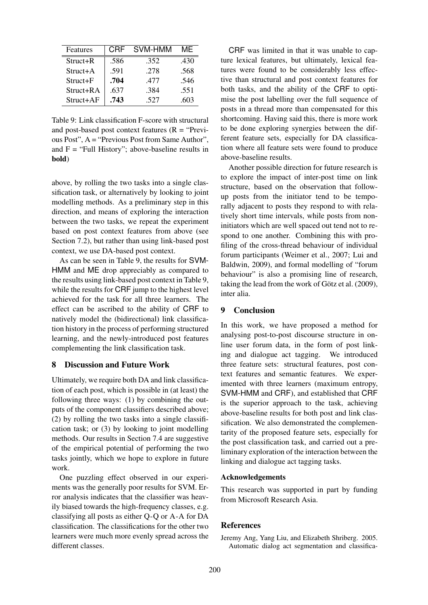| Features   | CRF  | SVM-HMM | MF   |
|------------|------|---------|------|
| $Struct+R$ | .586 | .352    | .430 |
| $Struct+A$ | .591 | .278    | .568 |
| $Struct+F$ | .704 | .477    | .546 |
| Struct+RA  | .637 | .384    | .551 |
| Struct+AF  | .743 | .527    | .603 |

Table 9: Link classification F-score with structural and post-based post context features  $(R = "Previ-)$ ous Post", A = "Previous Post from Same Author", and  $F = "Full History"$ ; above-baseline results in bold)

above, by rolling the two tasks into a single classification task, or alternatively by looking to joint modelling methods. As a preliminary step in this direction, and means of exploring the interaction between the two tasks, we repeat the experiment based on post context features from above (see Section 7.2), but rather than using link-based post context, we use DA-based post context.

As can be seen in Table 9, the results for SVM-HMM and ME drop appreciably as compared to the results using link-based post context in Table 9, while the results for CRF jump to the highest level achieved for the task for all three learners. The effect can be ascribed to the ability of CRF to natively model the (bidirectional) link classification history in the process of performing structured learning, and the newly-introduced post features complementing the link classification task.

## 8 Discussion and Future Work

Ultimately, we require both DA and link classification of each post, which is possible in (at least) the following three ways: (1) by combining the outputs of the component classifiers described above; (2) by rolling the two tasks into a single classification task; or (3) by looking to joint modelling methods. Our results in Section 7.4 are suggestive of the empirical potential of performing the two tasks jointly, which we hope to explore in future work.

One puzzling effect observed in our experiments was the generally poor results for SVM. Error analysis indicates that the classifier was heavily biased towards the high-frequency classes, e.g. classifying all posts as either Q-Q or A-A for DA classification. The classifications for the other two learners were much more evenly spread across the different classes.

CRF was limited in that it was unable to capture lexical features, but ultimately, lexical features were found to be considerably less effective than structural and post context features for both tasks, and the ability of the CRF to optimise the post labelling over the full sequence of posts in a thread more than compensated for this shortcoming. Having said this, there is more work to be done exploring synergies between the different feature sets, especially for DA classification where all feature sets were found to produce above-baseline results.

Another possible direction for future research is to explore the impact of inter-post time on link structure, based on the observation that followup posts from the initiator tend to be temporally adjacent to posts they respond to with relatively short time intervals, while posts from noninitiators which are well spaced out tend not to respond to one another. Combining this with profiling of the cross-thread behaviour of individual forum participants (Weimer et al., 2007; Lui and Baldwin, 2009), and formal modelling of "forum behaviour" is also a promising line of research, taking the lead from the work of Götz et al.  $(2009)$ , inter alia.

## 9 Conclusion

In this work, we have proposed a method for analysing post-to-post discourse structure in online user forum data, in the form of post linking and dialogue act tagging. We introduced three feature sets: structural features, post context features and semantic features. We experimented with three learners (maximum entropy, SVM-HMM and CRF), and established that CRF is the superior approach to the task, achieving above-baseline results for both post and link classification. We also demonstrated the complementarity of the proposed feature sets, especially for the post classification task, and carried out a preliminary exploration of the interaction between the linking and dialogue act tagging tasks.

## Acknowledgements

This research was supported in part by funding from Microsoft Research Asia.

#### References

Jeremy Ang, Yang Liu, and Elizabeth Shriberg. 2005. Automatic dialog act segmentation and classifica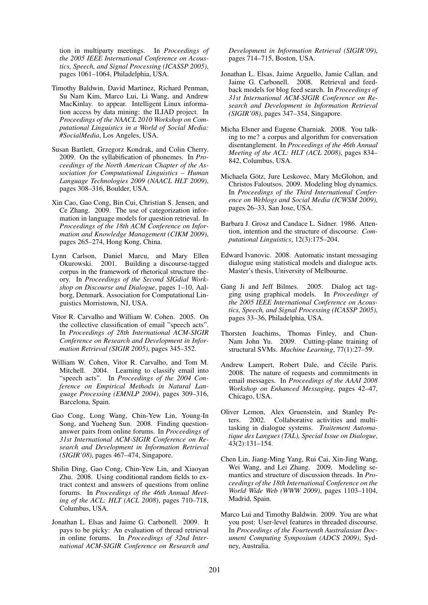tion in multiparty meetings. In *Proceedings of the 2005 IEEE International Conference on Acoustics, Speech, and Signal Processing (ICASSP 2005)*, pages 1061–1064, Philadelphia, USA.

- Timothy Baldwin, David Martinez, Richard Penman, Su Nam Kim, Marco Lui, Li Wang, and Andrew MacKinlay. to appear. Intelligent Linux information access by data mining: the ILIAD project. In *Proceedings of the NAACL 2010 Workshop on Computational Linguistics in a World of Social Media: #SocialMedia*, Los Angeles, USA.
- Susan Bartlett, Grzegorz Kondrak, and Colin Cherry. 2009. On the syllabification of phonemes. In *Proceedings of the North American Chapter of the Association for Computational Linguistics – Human Language Technologies 2009 (NAACL HLT 2009)*, pages 308–316, Boulder, USA.
- Xin Cao, Gao Cong, Bin Cui, Christian S. Jensen, and Ce Zhang. 2009. The use of categorization information in language models for question retrieval. In *Proceedings of the 18th ACM Conference on Information and Knowledge Management (CIKM 2009)*, pages 265–274, Hong Kong, China.
- Lynn Carlson, Daniel Marcu, and Mary Ellen Okurowski. 2001. Building a discourse-tagged corpus in the framework of rhetorical structure theory. In *Proceedings of the Second SIGdial Workshop on Discourse and Dialogue*, pages 1–10, Aalborg, Denmark. Association for Computational Linguistics Morristown, NJ, USA.
- Vitor R. Carvalho and William W. Cohen. 2005. On the collective classification of email "speech acts". In *Proceedings of 28th International ACM-SIGIR Conference on Research and Development in Information Retrieval (SIGIR 2005)*, pages 345–352.
- William W. Cohen, Vitor R. Carvalho, and Tom M. Mitchell. 2004. Learning to classify email into "speech acts". In *Proceedings of the 2004 Conference on Empirical Methods in Natural Language Processing (EMNLP 2004)*, pages 309–316, Barcelona, Spain.
- Gao Cong, Long Wang, Chin-Yew Lin, Young-In Song, and Yueheng Sun. 2008. Finding questionanswer pairs from online forums. In *Proceedings of 31st International ACM-SIGIR Conference on Research and Development in Information Retrieval (SIGIR'08)*, pages 467–474, Singapore.
- Shilin Ding, Gao Cong, Chin-Yew Lin, and Xiaoyan Zhu. 2008. Using conditional random fields to extract context and answers of questions from online forums. In *Proceedings of the 46th Annual Meeting of the ACL: HLT (ACL 2008)*, pages 710–718, Columbus, USA.
- Jonathan L. Elsas and Jaime G. Carbonell. 2009. It pays to be picky: An evaluation of thread retrieval in online forums. In *Proceedings of 32nd International ACM-SIGIR Conference on Research and*

*Development in Information Retrieval (SIGIR'09)*, pages 714–715, Boston, USA.

- Jonathan L. Elsas, Jaime Arguello, Jamie Callan, and Jaime G. Carbonell. 2008. Retrieval and feedback models for blog feed search. In *Proceedings of 31st International ACM-SIGIR Conference on Research and Development in Information Retrieval (SIGIR'08)*, pages 347–354, Singapore.
- Micha Elsner and Eugene Charniak. 2008. You talking to me? a corpus and algorithm for conversation disentanglement. In *Proceedings of the 46th Annual Meeting of the ACL: HLT (ACL 2008)*, pages 834– 842, Columbus, USA.
- Michaela Götz, Jure Leskovec, Mary McGlohon, and Christos Faloutsos. 2009. Modeling blog dynamics. In *Proceedings of the Third International Conference on Weblogs and Social Media (ICWSM 2009)*, pages 26–33, San Jose, USA.
- Barbara J. Grosz and Candace L. Sidner. 1986. Attention, intention and the structure of discourse. *Computational Linguistics*, 12(3):175–204.
- Edward Ivanovic. 2008. Automatic instant messaging dialogue using statistical models and dialogue acts. Master's thesis, University of Melbourne.
- Gang Ji and Jeff Bilmes. 2005. Dialog act tagging using graphical models. In *Proceedings of the 2005 IEEE International Conference on Acoustics, Speech, and Signal Processing (ICASSP 2005)*, pages 33–36, Philadelphia, USA.
- Thorsten Joachims, Thomas Finley, and Chun-Nam John Yu. 2009. Cutting-plane training of structural SVMs. *Machine Learning*, 77(1):27–59.
- Andrew Lampert, Robert Dale, and Cécile Paris. 2008. The nature of requests and commitments in email messages. In *Proceedings of the AAAI 2008 Workshop on Enhanced Messaging*, pages 42–47, Chicago, USA.
- Oliver Lemon, Alex Gruenstein, and Stanley Peters. 2002. Collaborative activities and multitasking in dialogue systems. *Traitement Automatique des Langues (TAL), Special Issue on Dialogue*, 43(2):131–154.
- Chen Lin, Jiang-Ming Yang, Rui Cai, Xin-Jing Wang, Wei Wang, and Lei Zhang. 2009. Modeling semantics and structure of discussion threads. In *Proceedings of the 18th International Conference on the World Wide Web (WWW 2009)*, pages 1103–1104, Madrid, Spain.
- Marco Lui and Timothy Baldwin. 2009. You are what you post: User-level features in threaded discourse. In *Proceedings of the Fourteenth Australasian Document Computing Symposium (ADCS 2009)*, Sydney, Australia.